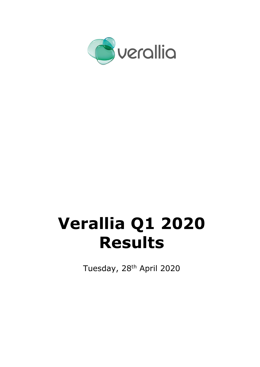

# **Verallia Q1 2020 Results**

Tuesday, 28<sup>th</sup> April 2020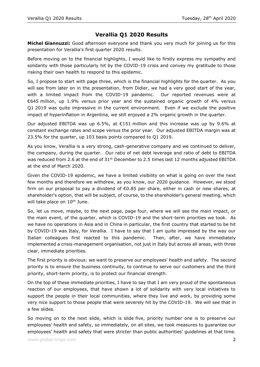## **Verallia Q1 2020 Results**

**Michel Giannuzzi:** Good afternoon everyone and thank you very much for joining us for this presentation for Verallia's first quarter 2020 results.

Before moving on to the financial highlights, I would like to firstly express my sympathy and solidarity with those particularly hit by the COVID-19 crisis and convey my gratitude to those risking their own health to respond to this epidemic.

So, I propose to start with page three, which is the financial highlights for the quarter. As you will see from later on in the presentation, from Didier, we had a very good start of the year, with a limited impact from the COVID-19 pandemic. Our reported revenues were at €645 million, up 1.9% versus prior year and the sustained organic growth of 4% versus Q1 2019 was quite impressive in the current environment. Even if we exclude the positive impact of hyperinflation in Argentina, we still enjoyed a 2% organic growth in the quarter.

Our adjusted EBITDA was up 6.5%, at €151 million and this increase was up by 9.6% at constant exchange rates and scope versus the prior year. Our adjusted EBITDA margin was at 23.5% for the quarter, up 103 basis points compared to Q1 2019.

As you know, Verallia is a very strong, cash-generative company and we continued to deliver, the company, during the quarter. Our ratio of net debt leverage and ratio of debt to EBITDA was reduced from 2.6 at the end of  $31<sup>st</sup>$  December to 2.5 times last 12 months adjusted EBITDA at the end of March 2020.

Given the COVID-19 epidemic, we have a limited visibility on what is going on over the next few months and therefore we withdrew, as you know, our 2020 guidance. However, we stood firm on our proposal to pay a dividend of €0.85 per share, either in cash or new shares, at shareholder's option, that will be subject, of course, to the shareholder's general meeting, which will take place on 10<sup>th</sup> June.

So, let us move, maybe, to the next page, page four, where we will see the main impact, or the main event, of the quarter, which is COVID-19 and the short-term priorities we took. As we have no operations in Asia and in China in particular, the first country that started to be hit by COVID-19 was Italy, for Verallia. I have to say that I am quite impressed by the way our Italian colleagues first reacted to this pandemic. Then, after, we have immediately implemented a crisis-management organisation, not just in Italy but across all areas, with three clear, immediate priorities.

The first priority is obvious: we want to preserve our employees' health and safety. The second priority is to ensure the business continuity, to continue to serve our customers and the third priority, short-term priority, is to protect our financial strength.

On the top of these immediate priorities, I have to say that I am very proud of the spontaneous reaction of our employees, that have shown a lot of solidarity with very local initiatives to support the people in their local communities, where they live and work, by providing some very nice support to those people that were severely hit by the COVID-19. We will see that in a few slides.

So moving on to the next slide, which is slide five, priority number one is to preserve our employees' health and safety, so immediately, on all sites, we took measures to guarantee our employees' health and safety that were stricter than public authorities' guidelines at that time.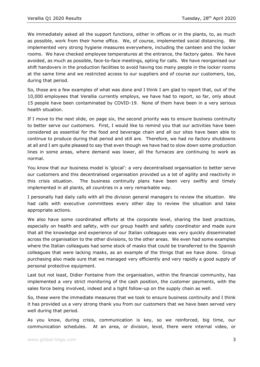We immediately asked all the support functions, either in offices or in the plants, to, as much as possible, work from their home office. We, of course, implemented social distancing. We implemented very strong hygiene measures everywhere, including the canteen and the locker rooms. We have checked employee temperatures at the entrance, the factory gates. We have avoided, as much as possible, face-to-face meetings, opting for calls. We have reorganised our shift handovers in the production facilities to avoid having too many people in the locker rooms at the same time and we restricted access to our suppliers and of course our customers, too, during that period.

So, those are a few examples of what was done and I think I am glad to report that, out of the 10,000 employees that Verallia currently employs, we have had to report, so far, only about 15 people have been contaminated by COVID-19. None of them have been in a very serious health situation.

If I move to the next slide, on page six, the second priority was to ensure business continuity to better serve our customers. First, I would like to remind you that our activities have been considered as essential for the food and beverage chain and all our sites have been able to continue to produce during that period and still are. Therefore, we had no factory shutdowns at all and I am quite pleased to say that even though we have had to slow down some production lines in some areas, where demand was lower, all the furnaces are continuing to work as normal.

You know that our business model is 'glocal': a very decentralised organisation to better serve our customers and this decentralised organisation provided us a lot of agility and reactivity in this crisis situation. The business continuity plans have been very swiftly and timely implemented in all plants, all countries in a very remarkable way.

I personally had daily calls with all the division general managers to review the situation. We had calls with executive committees every other day to review the situation and take appropriate actions.

We also have some coordinated efforts at the corporate level, sharing the best practices, especially on health and safety, with our group health and safety coordinator and made sure that all the knowledge and experience of our Italian colleagues was very quickly disseminated across the organisation to the other divisions, to the other areas. We even had some examples where the Italian colleagues had some stock of masks that could be transferred to the Spanish colleagues that were lacking masks, as an example of the things that we have done. Group purchasing also made sure that we managed very efficiently and very rapidly a good supply of personal protective equipment.

Last but not least, Didier Fontaine from the organisation, within the financial community, has implemented a very strict monitoring of the cash position, the customer payments, with the sales force being involved, indeed and a tight follow-up on the supply chain as well.

So, these were the immediate measures that we took to ensure business continuity and I think it has provided us a very strong thank you from our customers that we have been served very well during that period.

As you know, during crisis, communication is key, so we reinforced, big time, our communication schedules. At an area, or division, level, there were internal video, or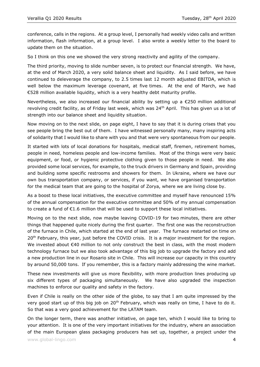conference, calls in the regions. At a group level, I personally had weekly video calls and written information, flash information, at a group level. I also wrote a weekly letter to the board to update them on the situation.

So I think on this one we showed the very strong reactivity and agility of the company.

The third priority, moving to slide number seven, is to protect our financial strength. We have, at the end of March 2020, a very solid balance sheet and liquidity. As I said before, we have continued to deleverage the company, to 2.5 times last 12 month adjusted EBITDA, which is well below the maximum leverage covenant, at five times. At the end of March, we had €528 million available liquidity, which is a very healthy debt maturity profile.

Nevertheless, we also increased our financial ability by setting up a €250 million additional revolving credit facility, as of Friday last week, which was 24<sup>th</sup> April. This has given us a lot of strength into our balance sheet and liquidity situation.

Now moving on to the next slide, on page eight, I have to say that it is during crises that you see people bring the best out of them. I have witnessed personally many, many inspiring acts of solidarity that I would like to share with you and that were very spontaneous from our people.

It started with lots of local donations for hospitals, medical staff, firemen, retirement homes, people in need, homeless people and low-income families. Most of the things were very basic equipment, or food, or hygienic protective clothing given to those people in need. We also provided some local services, for example, to the truck drivers in Germany and Spain, providing and building some specific restrooms and showers for them. In Ukraine, where we have our own bus transportation company, or services, if you want, we have organised transportation for the medical team that are going to the hospital of Zorya, where we are living close by.

As a boost to these local initiatives, the executive committee and myself have renounced 15% of the annual compensation for the executive committee and 50% of my annual compensation to create a fund of  $E1.6$  million that will be used to support these local initiatives.

Moving on to the next slide, now maybe leaving COVID-19 for two minutes, there are other things that happened quite nicely during the first quarter. The first one was the reconstruction of the furnace in Chile, which started at the end of last year. The furnace restarted on time on 20<sup>th</sup> February, this year, just before the COVID crisis. It is a major investment for the region. We invested about €40 million to not only construct the best in class, with the most modern technology furnace but we also took advantage of this big job to upgrade the factory and add a new production line in our Rosario site in Chile. This will increase our capacity in this country by around 50,000 tons. If you remember, this is a factory mainly addressing the wine market.

These new investments will give us more flexibility, with more production lines producing up six different types of packaging simultaneously. We have also upgraded the inspection machines to enforce our quality and safety in the factory.

Even if Chile is really on the other side of the globe, to say that I am quite impressed by the very good start up of this big job on  $20<sup>th</sup>$  February, which was really on time, I have to do it. So that was a very good achievement for the LATAM team.

On the longer term, there was another initiative, on page ten, which I would like to bring to your attention. It is one of the very important initiatives for the industry, where an association of the main European glass packaging producers has set up, together, a project under the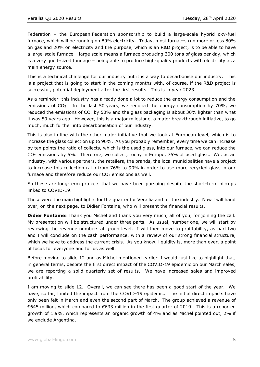Federation – the European Federation sponsorship to build a large-scale hybrid oxy-fuel furnace, which will be running on 80% electricity. Today, most furnaces run more or less 80% on gas and 20% on electricity and the purpose, which is an R&D project, is to be able to have a large-scale furnace – large scale means a furnace producing 300 tons of glass per day, which is a very good-sized tonnage – being able to produce high-quality products with electricity as a main energy source.

This is a technical challenge for our industry but it is a way to decarbonise our industry. This is a project that is going to start in the coming months with, of course, if the R&D project is successful, potential deployment after the first results. This is in year 2023.

As a reminder, this industry has already done a lot to reduce the energy consumption and the emissions of  $CO<sub>2</sub>$ . In the last 50 years, we reduced the energy consumption by 70%, we reduced the emissions of  $CO<sub>2</sub>$  by 50% and the glass packaging is about 30% lighter than what it was 50 years ago. However, this is a major milestone, a major breakthrough initiative, to go much, much further into decarbonisation of our industry.

This is also in line with the other major initiative that we took at European level, which is to increase the glass collection up to 90%. As you probably remember, every time we can increase by ten points the ratio of collects, which is the used glass, into our furnace, we can reduce the CO<sup>2</sup> emissions by 5%. Therefore, we collect, today in Europe, 76% of used glass. We, as an industry, with various partners, the retailers, the brands, the local municipalities have a project to increase this collection ratio from 76% to 90% in order to use more recycled glass in our furnace and therefore reduce our  $CO<sub>2</sub>$  emissions as well.

So these are long-term projects that we have been pursuing despite the short-term hiccups linked to COVID-19.

These were the main highlights for the quarter for Verallia and for the industry. Now I will hand over, on the next page, to Didier Fontaine, who will present the financial results.

**Didier Fontaine:** Thank you Michel and thank you very much, all of you, for joining the call. My presentation will be structured under three parts. As usual, number one, we will start by reviewing the revenue numbers at group level. I will then move to profitability, as part two and I will conclude on the cash performance, with a review of our strong financial structure, which we have to address the current crisis. As you know, liquidity is, more than ever, a point of focus for everyone and for us as well.

Before moving to slide 12 and as Michel mentioned earlier, I would just like to highlight that, in general terms, despite the first direct impact of the COVID-19 epidemic on our March sales, we are reporting a solid quarterly set of results. We have increased sales and improved profitability.

I am moving to slide 12. Overall, we can see there has been a good start of the year. We have, so far, limited the impact from the COVID-19 epidemic. The initial direct impacts have only been felt in March and even the second part of March. The group achieved a revenue of €645 million, which compared to €633 million in the first quarter of 2019. This is a reported growth of 1.9%, which represents an organic growth of 4% and as Michel pointed out, 2% if we exclude Argentina.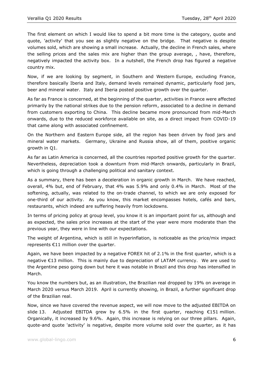The first element on which I would like to spend a bit more time is the category, quote and quote, 'activity' that you see as slightly negative on the bridge. That negative is despite volumes sold, which are showing a small increase. Actually, the decline in French sales, where the selling prices and the sales mix are higher than the group average, , have, therefore, negatively impacted the activity box. In a nutshell, the French drop has figured a negative country mix.

Now, if we are looking by segment, in Southern and Western Europe, excluding France, therefore basically Iberia and Italy, demand levels remained dynamic, particularly food jars, beer and mineral water. Italy and Iberia posted positive growth over the quarter.

As far as France is concerned, at the beginning of the quarter, activities in France were affected primarily by the national strikes due to the pension reform, associated to a decline in demand from customers exporting to China. This decline became more pronounced from mid-March onwards, due to the reduced workforce available on site, as a direct impact from COVID-19 that came along with associated confinement.

On the Northern and Eastern Europe side, all the region has been driven by food jars and mineral water markets. Germany, Ukraine and Russia show, all of them, positive organic growth in Q1.

As far as Latin America is concerned, all the countries reported positive growth for the quarter. Nevertheless, depreciation took a downturn from mid-March onwards, particularly in Brazil, which is going through a challenging political and sanitary context.

As a summary, there has been a deceleration in organic growth in March. We have reached, overall, 4% but, end of February, that 4% was 5.9% and only 0.4% in March. Most of the softening, actually, was related to the on-trade channel, to which we are only exposed for one-third of our activity. As you know, this market encompasses hotels, cafés and bars, restaurants, which indeed are suffering heavily from lockdowns.

In terms of pricing policy at group level, you know it is an important point for us, although and as expected, the sales price increases at the start of the year were more moderate than the previous year, they were in line with our expectations.

The weight of Argentina, which is still in hyperinflation, is noticeable as the price/mix impact represents €11 million over the quarter.

Again, we have been impacted by a negative FOREX hit of 2.1% in the first quarter, which is a negative €13 million. This is mainly due to depreciation of LATAM currency. We are used to the Argentine peso going down but here it was notable in Brazil and this drop has intensified in March.

You know the numbers but, as an illustration, the Brazilian real dropped by 19% on average in March 2020 versus March 2019. April is currently showing, in Brazil, a further significant drop of the Brazilian real.

Now, since we have covered the revenue aspect, we will now move to the adjusted EBITDA on slide 13. Adjusted EBITDA grew by 6.5% in the first quarter, reaching €151 million. Organically, it increased by 9.6%. Again, this increase is relying on our three pillars. Again, quote-and quote 'activity' is negative, despite more volume sold over the quarter, as it has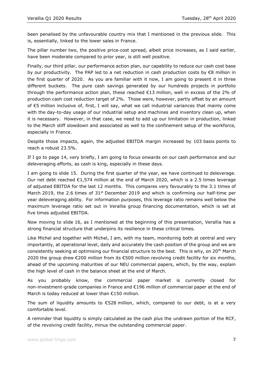been penalised by the unfavourable country mix that I mentioned in the previous slide. This is, essentially, linked to the lower sales in France.

The pillar number two, the positive price-cost spread, albeit price increases, as I said earlier, have been moderate compared to prior year, is still well positive.

Finally, our third pillar, our performance action plan, our capability to reduce our cash cost base by our productivity. The PAP led to a net reduction in cash production costs by  $\epsilon$ 8 million in the first quarter of 2020. As you are familiar with it now, I am going to present it in three different buckets. The pure cash savings generated by our hundreds projects in portfolio through the performance action plan, these reached €13 million, well in excess of the 2% of production cash cost reduction target of 2%. Those were, however, partly offset by an amount of €5 million inclusive of, first, I will say, what we call industrial variances that mainly come with the day-to-day usage of our industrial setup and machines and inventory clean up, when it is necessary. However, in that case, we need to add up our limitation in production, linked to the March stiff slowdown and associated as well to the confinement setup of the workforce, especially in France.

Despite those impacts, again, the adjusted EBITDA margin increased by 103 basis points to reach a robust 23.5%.

If I go to page 14, very briefly, I am going to focus onwards on our cash performance and our deleveraging efforts, as cash is king, especially in these days.

I am going to slide 15. During the first quarter of the year, we have continued to deleverage. Our net debt reached €1,574 million at the end of March 2020, which is a 2.5 times leverage of adjusted EBITDA for the last 12 months. This compares very favourably to the 3.1 times of March 2019, the 2.6 times of  $31<sup>st</sup>$  December 2019 and which is confirming our half-time per year deleveraging ability. For information purposes, this leverage ratio remains well below the maximum leverage ratio set out in Verallia group financing documentation, which is set at five times adjusted EBITDA.

Now moving to slide 16, as I mentioned at the beginning of this presentation, Verallia has a strong financial structure that underpins its resilience in these critical times.

Like Michel and together with Michel, I am, with my team, monitoring both at central and very importantly, at operational level, daily and accurately the cash position of the group and we are consistently seeking at optimising our financial structure to the best. This is why, on 20<sup>th</sup> March 2020 the group drew €200 million from its €500 million revolving credit facility for six months, ahead of the upcoming maturities of our NEU commercial papers, which, by the way, explain the high level of cash in the balance sheet at the end of March.

As you probably know, the commercial paper market is currently closed for non-investment-grade companies in France and €196 million of commercial paper at the end of March is today reduced at lower than €150 million.

The sum of liquidity amounts to  $\epsilon$ 528 million, which, compared to our debt, is at a very comfortable level.

A reminder that liquidity is simply calculated as the cash plus the undrawn portion of the RCF, of the revolving credit facility, minus the outstanding commercial paper.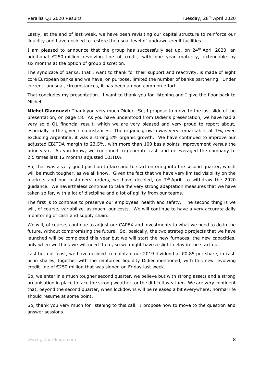Lastly, at the end of last week, we have been revisiting our capital structure to reinforce our liquidity and have decided to restore the usual level of undrawn credit facilities.

I am pleased to announce that the group has successfully set up, on  $24<sup>th</sup>$  April 2020, an additional €250 million revolving line of credit, with one year maturity, extendable by six months at the option of group discretion.

The syndicate of banks, that I want to thank for their support and reactivity, is made of eight core European banks and we have, on purpose, limited the number of banks partnering. Under current, unusual, circumstances, it has been a good common effort.

That concludes my presentation. I want to thank you for listening and I give the floor back to Michel.

**Michel Giannuzzi:** Thank you very much Didier. So, I propose to move to the last slide of the presentation, on page 18. As you have understood from Didier's presentation, we have had a very solid Q1 financial result, which we are very pleased and very proud to report about, especially in the given circumstances. The organic growth was very remarkable, at 4%, even excluding Argentina, it was a strong 2% organic growth. We have continued to improve our adjusted EBITDA margin to 23.5%, with more than 100 basis points improvement versus the prior year. As you know, we continued to generate cash and deleveraged the company to 2.5 times last 12 months adjusted EBITDA.

So, that was a very good position to face and to start entering into the second quarter, which will be much tougher, as we all know. Given the fact that we have very limited visibility on the markets and our customers' orders, we have decided, on  $7<sup>th</sup>$  April, to withdraw the 2020 guidance. We nevertheless continue to take the very strong adaptation measures that we have taken so far, with a lot of discipline and a lot of agility from our teams.

The first is to continue to preserve our employees' health and safety. The second thing is we will, of course, variabilize, as much, our costs. We will continue to have a very accurate daily monitoring of cash and supply chain.

We will, of course, continue to adjust our CAPEX and investments to what we need to do in the future, without compromising the future. So, basically, the two strategic projects that we have launched will be completed this year but we will start the new furnaces, the new capacities, only when we think we will need them, so we might have a slight delay in the start up.

Last but not least, we have decided to maintain our 2019 dividend at €0.85 per share, in cash or in shares, together with the reinforced liquidity Didier mentioned, with this new revolving credit line of €250 million that was signed on Friday last week.

So, we enter in a much tougher second quarter, we believe but with strong assets and a strong organisation in place to face the strong weather, or the difficult weather. We are very confident that, beyond the second quarter, when lockdowns will be released a bit everywhere, normal life should resume at some point.

So, thank you very much for listening to this call. I propose now to move to the question and answer sessions.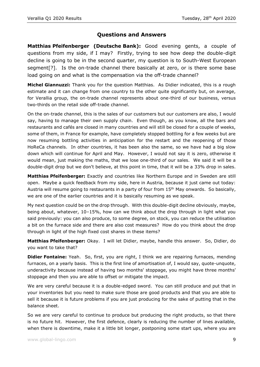## **Questions and Answers**

**Matthias Pfeifenberger (Deutsche Bank):** Good evening gents, a couple of questions from my side, if I may? Firstly, trying to see how deep the double-digit decline is going to be in the second quarter, my question is to South-West European segment[?]. Is the on-trade channel there basically at zero, or is there some base load going on and what is the compensation via the off-trade channel?

**Michel Giannuzzi:** Thank you for the question Matthias. As Didier indicated, this is a rough estimate and it can change from one country to the other quite significantly but, on average, for Verallia group, the on-trade channel represents about one-third of our business, versus two-thirds on the retail side off-trade channel.

On the on-trade channel, this is the sales of our customers but our customers are also, I would say, having to manage their own supply chain. Even though, as you know, all the bars and restaurants and cafés are closed in many countries and will still be closed for a couple of weeks, some of them, in France for example, have completely stopped bottling for a few weeks but are now resuming bottling activities in anticipation for the restart and the reopening of those HoReCa channels. In other countries, it has been also the same, so we have had a big slow down which will continue for April and May. However, I would not say it is zero, otherwise it would mean, just making the maths, that we lose one-third of our sales. We said it will be a double-digit drop but we don't believe, at this point in time, that it will be a 33% drop in sales.

**Matthias Pfeifenberger:** Exactly and countries like Northern Europe and in Sweden are still open. Maybe a quick feedback from my side, here in Austria, because it just came out today: Austria will resume going to restaurants in a party of four from 15<sup>th</sup> May onwards. So basically, we are one of the earlier countries and it is basically resuming as we speak.

My next question could be on the drop through. With this double-digit decline obviously, maybe, being about, whatever, 10–15%, how can we think about the drop through in light what you said previously: you can also produce, to some degree, on stock, you can reduce the utilisation a bit on the furnace side and there are also cost measures? How do you think about the drop through in light of the high fixed cost shares in these items?

**Matthias Pfeifenberger:** Okay. I will let Didier, maybe, handle this answer. So, Didier, do you want to take that?

**Didier Fontaine:** Yeah. So, first, you are right, I think we are repairing furnaces, mending furnaces, on a yearly basis. This is the first line of amortisation of, I would say, quote-unquote, underactivity because instead of having two months' stoppage, you might have three months' stoppage and then you are able to offset or mitigate the impact.

We are very careful because it is a double-edged sword. You can still produce and put that in your inventories but you need to make sure those are good products and that you are able to sell it because it is future problems if you are just producing for the sake of putting that in the balance sheet.

So we are very careful to continue to produce but producing the right products, so that there is no future hit. However, the first defence, clearly is reducing the number of lines available, when there is downtime, make it a little bit longer, postponing some start ups, where you are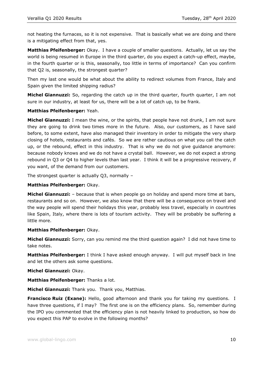not heating the furnaces, so it is not expensive. That is basically what we are doing and there is a mitigating effect from that, yes.

**Matthias Pfeifenberger:** Okay. I have a couple of smaller questions. Actually, let us say the world is being resumed in Europe in the third quarter, do you expect a catch-up effect, maybe, in the fourth quarter or is this, seasonally, too little in terms of importance? Can you confirm that Q2 is, seasonally, the strongest quarter?

Then my last one would be what about the ability to redirect volumes from France, Italy and Spain given the limited shipping radius?

**Michel Giannuzzi:** So, regarding the catch up in the third quarter, fourth quarter, I am not sure in our industry, at least for us, there will be a lot of catch up, to be frank.

### **Matthias Pfeifenberger:** Yeah.

**Michel Giannuzzi:** I mean the wine, or the spirits, that people have not drunk, I am not sure they are going to drink two times more in the future. Also, our customers, as I have said before, to some extent, have also managed their inventory in order to mitigate the very sharp closing of hotels, restaurants and cafés. So we are rather cautious on what you call the catch up, or the rebound, effect in this industry. That is why we do not give guidance anymore: because nobody knows and we do not have a crystal ball. However, we do not expect a strong rebound in Q3 or Q4 to higher levels than last year. I think it will be a progressive recovery, if you want, of the demand from our customers.

The strongest quarter is actually  $Q3$ , normally  $-$ 

### **Matthias Pfeifenberger:** Okay.

**Michel Giannuzzi:** – because that is when people go on holiday and spend more time at bars, restaurants and so on. However, we also know that there will be a consequence on travel and the way people will spend their holidays this year, probably less travel, especially in countries like Spain, Italy, where there is lots of tourism activity. They will be probably be suffering a little more.

### **Matthias Pfeifenberger:** Okay.

**Michel Giannuzzi:** Sorry, can you remind me the third question again? I did not have time to take notes.

**Matthias Pfeifenberger:** I think I have asked enough anyway. I will put myself back in line and let the others ask some questions.

### **Michel Giannuzzi:** Okay.

**Matthias Pfeifenberger:** Thanks a lot.

**Michel Giannuzzi:** Thank you. Thank you, Matthias.

**Francisco Ruiz (Exane):** Hello, good afternoon and thank you for taking my questions. I have three questions, if I may? The first one is on the efficiency plans. So, remember during the IPO you commented that the efficiency plan is not heavily linked to production, so how do you expect this PAP to evolve in the following months?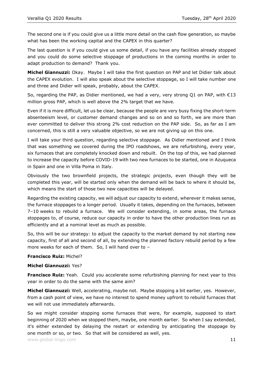The second one is if you could give us a little more detail on the cash flow generation, so maybe what has been the working capital and the CAPEX in this quarter?

The last question is if you could give us some detail, if you have any facilities already stopped and you could do some selective stoppage of productions in the coming months in order to adapt production to demand? Thank you.

**Michel Giannuzzi:** Okay. Maybe I will take the first question on PAP and let Didier talk about the CAPEX evolution. I will also speak about the selective stoppage, so I will take number one and three and Didier will speak, probably, about the CAPEX.

So, regarding the PAP, as Didier mentioned, we had a very, very strong Q1 on PAP, with  $\epsilon$ 13 million gross PAP, which is well above the 2% target that we have.

Even if it is more difficult, let us be clear, because the people are very busy fixing the short-term absenteeism level, or customer demand changes and so on and so forth, we are more than ever committed to deliver this strong 2% cost reduction on the PAP side. So, as far as I am concerned, this is still a very valuable objective, so we are not giving up on this one.

I will take your third question, regarding selective stoppage. As Didier mentioned and I think that was something we covered during the IPO roadshows, we are refurbishing, every year, six furnaces that are completely knocked down and rebuilt. On the top of this, we had planned to increase the capacity before COVID-19 with two new furnaces to be started, one in Azuqueca in Spain and one in Villa Poma in Italy.

Obviously the two brownfield projects, the strategic projects, even though they will be completed this year, will be started only when the demand will be back to where it should be, which means the start of those two new capacities will be delayed.

Regarding the existing capacity, we will adjust our capacity to extend, wherever it makes sense, the furnace stoppages to a longer period. Usually it takes, depending on the furnaces, between 7–10 weeks to rebuild a furnace. We will consider extending, in some areas, the furnace stoppages to, of course, reduce our capacity in order to have the other production lines run as efficiently and at a nominal level as much as possible.

So, this will be our strategy: to adjust the capacity to the market demand by not starting new capacity, first of all and second of all, by extending the planned factory rebuild period by a few more weeks for each of them. So, I will hand over to –

### **Francisco Ruiz:** Michel?

#### **Michel Giannuzzi:** Yes?

**Francisco Ruiz:** Yeah. Could you accelerate some refurbishing planning for next year to this year in order to do the same with the same aim?

**Michel Giannuzzi:** Well, accelerating, maybe not. Maybe stopping a bit earlier, yes. However, from a cash point of view, we have no interest to spend money upfront to rebuild furnaces that we will not use immediately afterwards.

So we might consider stopping some furnaces that were, for example, supposed to start beginning of 2020 when we stopped them, maybe, one month earlier. So when I say extended, it's either extended by delaying the restart or extending by anticipating the stoppage by one month or so, or two. So that will be considered as well, yes.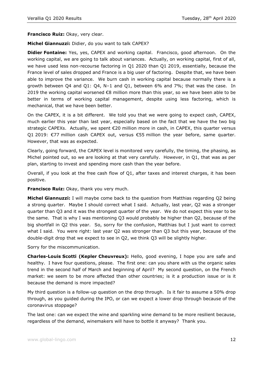**Francisco Ruiz:** Okay, very clear.

**Michel Giannuzzi:** Didier, do you want to talk CAPEX?

**Didier Fontaine:** Yes, yes, CAPEX and working capital. Francisco, good afternoon. On the working capital, we are going to talk about variances. Actually, on working capital, first of all, we have used less non-recourse factoring in Q1 2020 than Q1 2019, essentially, because the France level of sales dropped and France is a big user of factoring. Despite that, we have been able to improve the variance. We burn cash in working capital because normally there is a growth between Q4 and Q1: Q4, N–1 and Q1, between 6% and 7%; that was the case. In 2019 the working capital worsened €8 million more than this year, so we have been able to be better in terms of working capital management, despite using less factoring, which is mechanical, that we have been better.

On the CAPEX, it is a bit different. We told you that we were going to expect cash, CAPEX, much earlier this year than last year, especially based on the fact that we have the two big strategic CAPEXs. Actually, we spent  $\epsilon$ 20 million more in cash, in CAPEX, this quarter versus Q1 2019: €77 million cash CAPEX out, versus €55 million the year before, same quarter. However, that was as expected.

Clearly, going forward, the CAPEX level is monitored very carefully, the timing, the phasing, as Michel pointed out, so we are looking at that very carefully. However, in Q1, that was as per plan, starting to invest and spending more cash than the year before.

Overall, if you look at the free cash flow of Q1, after taxes and interest charges, it has been positive.

**Francisco Ruiz:** Okay, thank you very much.

**Michel Giannuzzi:** I will maybe come back to the question from Matthias regarding Q2 being a strong quarter. Maybe I should correct what I said. Actually, last year, Q2 was a stronger quarter than Q3 and it was the strongest quarter of the year. We do not expect this year to be the same. That is why I was mentioning Q3 would probably be higher than Q2, because of the big shortfall in Q2 this year. So, sorry for the confusion, Matthias but I just want to correct what I said. You were right: last year Q2 was stronger than Q3 but this year, because of the double-digit drop that we expect to see in Q2, we think Q3 will be slightly higher.

Sorry for the miscommunication.

**Charles-Louis Scotti (Kepler Cheuvreux):** Hello, good evening, I hope you are safe and healthy. I have four questions, please. The first one: can you share with us the organic sales trend in the second half of March and beginning of April? My second question, on the French market: we seem to be more affected than other countries; is it a production issue or is it because the demand is more impacted?

My third question is a follow-up question on the drop through. Is it fair to assume a 50% drop through, as you guided during the IPO, or can we expect a lower drop through because of the coronavirus stoppage?

The last one: can we expect the wine and sparkling wine demand to be more resilient because, regardless of the demand, winemakers will have to bottle it anyway? Thank you.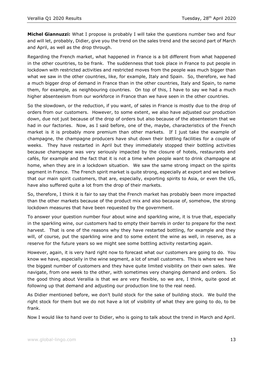**Michel Giannuzzi:** What I propose is probably I will take the questions number two and four and will let, probably, Didier, give you the trend on the sales trend and the second part of March and April, as well as the drop through.

Regarding the French market, what happened in France is a bit different from what happened in the other countries, to be frank. The suddenness that took place in France to put people in lockdown with restricted activities and restricted moves from the people was much bigger than what we saw in the other countries, like, for example, Italy and Spain. So, therefore, we had a much bigger drop of demand in France than in the other countries, Italy and Spain, to name them, for example, as neighbouring countries. On top of this, I have to say we had a much higher absenteeism from our workforce in France than we have seen in the other countries.

So the slowdown, or the reduction, if you want, of sales in France is mostly due to the drop of orders from our customers. However, to some extent, we also have adjusted our production down, due not just because of the drop of orders but also because of the absenteeism that we had in our factories. Now, as I said before, one of the, maybe, characteristics of the French market is it is probably more premium than other markets. If I just take the example of champagne, the champagne producers have shut down their bottling facilities for a couple of weeks. They have restarted in April but they immediately stopped their bottling activities because champagne was very seriously impacted by the closure of hotels, restaurants and cafés, for example and the fact that it is not a time when people want to drink champagne at home, when they are in a lockdown situation. We saw the same strong impact on the spirits segment in France. The French spirit market is quite strong, especially at export and we believe that our main spirit customers, that are, especially, exporting spirits to Asia, or even the US, have also suffered quite a lot from the drop of their markets.

So, therefore, I think it is fair to say that the French market has probably been more impacted than the other markets because of the product mix and also because of, somehow, the strong lockdown measures that have been requested by the government.

To answer your question number four about wine and sparkling wine, it is true that, especially in the sparkling wine, our customers had to empty their barrels in order to prepare for the next harvest. That is one of the reasons why they have restarted bottling, for example and they will, of course, put the sparkling wine and to some extent the wine as well, in reserve, as a reserve for the future years so we might see some bottling activity restarting again.

However, again, it is very hard right now to forecast what our customers are going to do. You know we have, especially in the wine segment, a lot of small customers. This is where we have the biggest number of customers and they have quite limited visibility on their own sales. We navigate, from one week to the other, with sometimes very changing demand and orders. So the good thing about Verallia is that we are very flexible, so we are, I think, quite good at following up that demand and adjusting our production line to the real need.

As Didier mentioned before, we don't build stock for the sake of building stock. We build the right stock for them but we do not have a lot of visibility of what they are going to do, to be frank.

Now I would like to hand over to Didier, who is going to talk about the trend in March and April.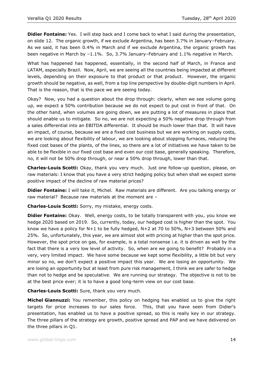**Didier Fontaine:** Yes. I will step back and I come back to what I said during the presentation, on slide 12. The organic growth, if we exclude Argentina, has been 3.7% in January–February. As we said, it has been 0.4% in March and if we exclude Argentina, the organic growth has been negative in March by –1.1%. So, 3.7% January–February and 1.1% negative in March.

What has happened has happened, essentially, in the second half of March, in France and LATAM, especially Brazil. Now, April, we are seeing all the countries being impacted at different levels, depending on their exposure to that product or that product. However, the organic growth should be negative, as well, from a top line perspective by double-digit numbers in April. That is the reason, that is the pace we are seeing today.

Okay? Now, you had a question about the drop through: clearly, when we see volume going up, we expect a 50% contribution because we do not expect to put cost in front of that. On the other hand, when volumes are going down, we are putting a lot of measures in place that should enable us to mitigate. So no, we are not expecting a 50% negative drop through from a sales differential into an EBITDA differential. It should be much lower than that. It will have an impact, of course, because we are a fixed cost business but we are working on supply costs, we are looking about flexibility of labour, we are looking about stopping furnaces, reducing the fixed cost bases of the plants, of the lines, so there are a lot of initiatives we have taken to be able to be flexible in our fixed cost base and even our cost base, generally speaking. Therefore, no, it will not be 50% drop through, or near a 50% drop through, lower than that.

**Charles-Louis Scotti:** Okay, thank you very much. Just one follow-up question, please, on raw materials: I know that you have a very strict hedging policy but when shall we expect some positive impact of the decline of raw material prices?

**Didier Fontaine:** I will take it, Michel. Raw materials are different. Are you talking energy or raw material? Because raw materials at the moment are –

**Charles-Louis Scotti:** Sorry, my mistake, energy costs.

**Didier Fontaine:** Okay. Well, energy costs, to be totally transparent with you, you know we hedge 2020 based on 2019. So, currently, today, our hedged cost is higher than the spot. You know we have a policy for N+1 to be fully hedged, N+2 at 70 to 50%, N+3 between 50% and 25%. So, unfortunately, this year, we are almost slot with pricing at higher than the spot price. However, the spot price on gas, for example, is a total nonsense i.e. it is driven as well by the fact that there is a very low level of activity. So, when are we going to benefit? Probably in a very, very limited impact. We have some because we kept some flexibility, a little bit but very minor so no, we don't expect a positive impact this year. We are losing an opportunity. We are losing an opportunity but at least from pure risk management, I think we are safer to hedge than not to hedge and be speculative. We are running our strategy. The objective is not to be at the best price ever; it is to have a good long-term view on our cost base.

**Charles-Louis Scotti:** Sure, thank you very much.

**Michel Giannuzzi:** You remember, this policy on hedging has enabled us to give the right targets for price increases to our sales force. This, that you have seen from Didier's presentation, has enabled us to have a positive spread, so this is really key in our strategy. The three pillars of the strategy are growth, positive spread and PAP and we have delivered on the three pillars in Q1.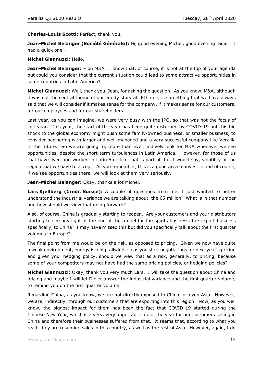**Charles-Louis Scotti:** Perfect, thank you.

**Jean-Michel Belanger (Société Générale):** Hi, good evening Michel, good evening Didier. I had a quick one –

**Michel Giannuzzi:** Hello.

**Jean-Michel Belanger:** – on M&A. I know that, of course, it is not at the top of your agenda but could you consider that the current situation could lead to some attractive opportunities in some countries in Latin America?

**Michel Giannuzzi:** Well, thank you, Jean, for asking the question. As you know, M&A, although it was not the central theme of our equity story at IPO time, is something that we have always said that we will consider if it makes sense for the company, if it makes sense for our customers, for our employees and for our shareholders.

Last year, as you can imagine, we were very busy with the IPO, so that was not the focus of last year. This year, the start of the year has been quite disturbed by COVID-19 but this big shock to the global economy might push some family-owned business, or smaller business, to consider partnering with larger and well-managed and a very successful company like Verallia in the future. So we are going to, more than ever, actively look for M&A whenever we see opportunities, despite the short-term turbulences in Latin America. However, for those of us that have lived and worked in Latin America, that is part of the, I would say, volatility of the region that we have to accept. As you remember, this is a good area to invest in and of course, if we see opportunities there, we will look at them very seriously.

**Jean-Michel Belanger:** Okay, thanks a lot Michel.

**Lars Kjellberg (Credit Suisse):** A couple of questions from me: I just wanted to better understand the industrial variance we are talking about, the €5 million. What is in that number and how should we view that going forward?

Also, of course, China is gradually starting to reopen. Are your customers and your distributors starting to see any light at the end of the tunnel for the spirits business, the export business specifically, to China? I may have missed this but did you specifically talk about the first quarter volumes in Europe?

The final point from me would be on the risk, as opposed to pricing. Given we now have quite a weak environment, energy is a big tailwind, so as you start negotiations for next year's pricing and given your hedging policy, should we view that as a risk, generally, to pricing, because some of your competitors may not have had the same pricing policies, or hedging policies?

**Michel Giannuzzi:** Okay, thank you very much Lars. I will take the question about China and pricing and maybe I will let Didier answer the industrial variance and the first quarter volume, to remind you on the first quarter volume.

Regarding China, as you know, we are not directly exposed to China, or even Asia. However, we are, indirectly, through our customers that are exporting into this region. Now, as you well know, the biggest impact for them has been the fact that COVID-19 started during the Chinese New Year, which is a very, very important time of the year for our customers selling in China and therefore their businesses suffered from that. It seems that, according to what you read, they are resuming sales in this country, as well as the rest of Asia. However, again, I do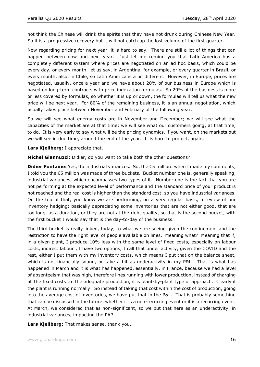not think the Chinese will drink the spirits that they have not drunk during Chinese New Year. So it is a progressive recovery but it will not catch up the lost volume of the first quarter.

Now regarding pricing for next year, it is hard to say. There are still a lot of things that can happen between now and next year. Just let me remind you that Latin America has a completely different system where prices are negotiated on an ad hoc basis, which could be every day, or every month, let us say, in Argentina, for example, or every quarter in Brazil, or every month, also, in Chile, so Latin America is a bit different. However, in Europe, prices are negotiated, usually, once a year and we have about 20% of our business in Europe which is based on long-term contracts with price indexation formulas. So 20% of the business is more or less covered by formulas, so whether it is up or down, the formulas will tell us what the new price will be next year. For 80% of the remaining business, it is an annual negotiation, which usually takes place between November and February of the following year.

So we will see what energy costs are in November and December; we will see what the capacities of the market are at that time; we will see what our customers going, at that time, to do. It is very early to say what will be the pricing dynamics, if you want, on the markets but we will see in due time, around the end of the year. It is hard to project, again.

**Lars Kjellberg:** I appreciate that.

**Michel Giannuzzi:** Didier, do you want to take both the other questions?

**Didier Fontaine:** Yes, the industrial variances. So, the €5 million: when I made my comments, I told you the €5 million was made of three buckets. Bucket number one is, generally speaking, industrial variances, which encompasses two types of it. Number one is the fact that you are not performing at the expected level of performance and the standard price of your product is not reached and the real cost is higher than the standard cost, so you have industrial variances. On the top of that, you know we are performing, on a very regular basis, a review of our inventory hedging: basically depreciating some inventories that are not either good, that are too long, as a duration, or they are not at the right quality, so that is the second bucket, with the first bucket I would say that is the day-to-day of the business.

The third bucket is really linked, today, to what we are seeing given the confinement and the restriction to have the right level of people available on lines. Meaning what? Meaning that if, in a given plant, I produce 10% less with the same level of fixed costs, especially on labour costs, indirect labour , I have two options, I call that under activity, given the COVID and the rest, either I put them with my inventory costs, which means I put that on the balance sheet, which is not financially sound, or take a hit as underactivity in my P&L. That is what has happened in March and it is what has happened, essentially, in France, because we had a level of absenteeism that was high, therefore lines running with lower production, instead of charging all the fixed costs to the adequate production, it is plant-by-plant type of approach. Clearly if the plant is running normally. So instead of taking that cost within the cost of production, going into the average cost of inventories, we have put that in the P&L. That is probably something that can be discussed in the future, whether it is a non-recurring event or it is a recurring event. At March, we considered that as non-significant, so we put that here as an underactivity, in industrial variances, impacting the PAP.

**Lars Kjellberg:** That makes sense, thank you.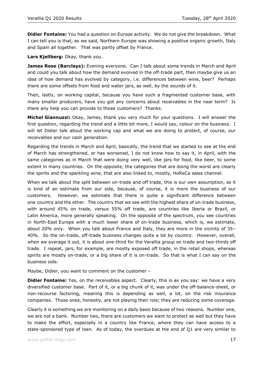**Didier Fontaine:** You had a question on Europe activity. We do not give the breakdown. What I can tell you is that, as we said, Northern Europe was showing a positive organic growth, Italy and Spain all together. That was partly offset by France.

**Lars Kjellberg:** Okay, thank you.

**James Rose (Barclays):** Evening everyone. Can I talk about some trends in March and April and could you talk about how the demand evolved in the off-trade part, then maybe give us an idea of how demand has evolved by category, i.e. differences between wine, beer? Perhaps there are some offsets from food and water jars, as well, by the sounds of it.

Then, lastly, on working capital, because you have such a fragmented customer base, with many smaller producers, have you got any concerns about receivables in the near term? Is there any help you can provide to those customers? Thanks.

**Michel Giannuzzi:** Okay, James, thank you very much for your questions. I will answer the first question, regarding the trend and a little bit more, I would say, colour on the business. I will let Didier talk about the working cap and what we are doing to protect, of course, our receivables and our cash generation.

Regarding the trends in March and April, basically, the trend that we started to see at the end of March has strengthened, or has worsened, I do not know how to say it, in April, with the same categories as in March that were doing very well, like jars for food, like beer, to some extent in many countries. On the opposite, the categories that are doing the worst are clearly the spirits and the sparkling wine, that are also linked to, mostly, HoReCa sales channel.

When we talk about the split between on-trade and off trade, this is our own assumption, so it is kind of an estimate from our side, because, of course, it is more the business of our customers. However, we estimate that there is quite a significant difference between one country and the other. The country that we see with the highest share of on-trade business, with around 45% on trade, versus 55% off trade, are countries like Iberia or Brazil, or Latin America, more generally speaking. On the opposite of the spectrum, you see countries in North-East Europe with a much lower share of on-trade business, which is, we estimate, about 20% only. When you talk about France and Italy, they are more in the vicinity of 35– 40%. So the on-trade, off-trade business changes quite a lot by country. However, overall, when we average it out, it is about one-third for the Verallia group on trade and two-thirds off trade. I repeat, jars, for example, are mostly exposed off trade, in the retail shops, whereas spirits are mostly on-trade, or a big share of it is on-trade. So that is what I can say on the business side.

Maybe, Didier, you want to comment on the customer –

**Didier Fontaine:** Yes, on the receivables aspect. Clearly, this is as you say: we have a very diversified customer base. Part of it, or a big chunk of it, was under the off-balance-sheet, or non-recourse factoring, meaning this is depending as well, a lot, on the risk insurance companies. Those ones, honestly, are not playing their role; they are reducing some coverage.

Clearly it is something we are monitoring on a daily basis because of two reasons. Number one, we are not a bank. Number two, there are customers we want to protect as well but they have to make the effort, especially in a country like France, where they can have access to a state-sponsored type of loan. As of today, the overdues at the end of Q1 are very similar to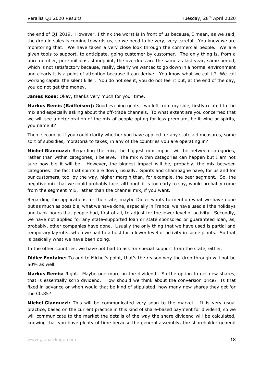the end of Q1 2019. However, I think the worst is in front of us because, I mean, as we said, the drop in sales is coming towards us, so we need to be very, very careful. You know we are monitoring that. We have taken a very close look through the commercial people. We are given tools to support, to anticipate, going customer by customer. The only thing is, from a pure number, pure millions, standpoint, the overdues are the same as last year, same period, which is not satisfactory because, really, clearly we wanted to go down in a normal environment and clearly it is a point of attention because it can derive. You know what we call it? We call working capital the silent killer. You do not see it, you do not feel it but, at the end of the day, you do not get the money.

**James Rose:** Okay, thanks very much for your time.

**Markus Remis (Raiffeisen):** Good evening gents, two left from my side, firstly related to the mix and especially asking about the off-trade channels. To what extent are you concerned that we will see a deterioration of the mix of people opting for less premium, be it wine or spirits, you name it?

Then, secondly, if you could clarify whether you have applied for any state aid measures, some sort of subsidies, moratoria to taxes, in any of the countries you are operating in?

**Michel Giannuzzi:** Regarding the mix, the biggest mix impact will be between categories, rather than within categories, I believe. The mix within categories can happen but I am not sure how big it will be. However, the biggest impact will be, probably, the mix between categories: the fact that spirits are down, usually. Spirits and champagne have, for us and for our customers, too, by the way, higher margin than, for example, the beer segment. So, the negative mix that we could probably face, although it is too early to say, would probably come from the segment mix, rather than the channel mix, if you want.

Regarding the applications for the state, maybe Didier wants to mention what we have done but as much as possible, what we have done, especially in France, we have used all the holidays and bank hours that people had, first of all, to adjust for the lower level of activity. Secondly, we have not applied for any state-supported loan or state sponsored or guaranteed loan, as, probably, other companies have done. Usually the only thing that we have used is partial and temporary lay-offs, when we had to adjust for a lower level of activity in some plants. So that is basically what we have been doing.

In the other countries, we have not had to ask for special support from the state, either.

**Didier Fontaine:** To add to Michel's point, that's the reason why the drop through will not be 50% as well.

**Markus Remis:** Right. Maybe one more on the dividend. So the option to get new shares, that is essentially scrip dividend. How should we think about the conversion price? Is that fixed in advance or when would that be kind of stipulated, how many new shares they get for the €0.85?

**Michel Giannuzzi:** This will be communicated very soon to the market. It is very usual practice, based on the current practice in this kind of share-based payment for dividend, so we will communicate to the market the details of the way the share dividend will be calculated, knowing that you have plenty of time because the general assembly, the shareholder general